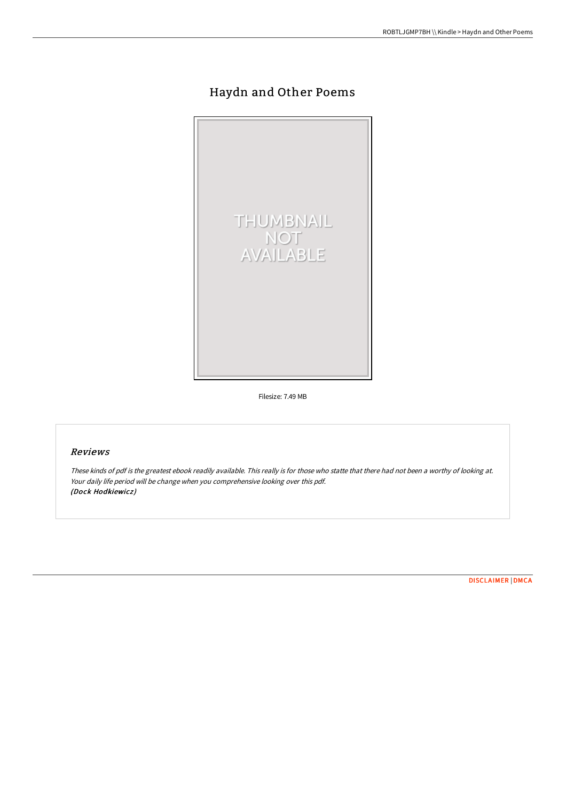## Haydn and Other Poems



Filesize: 7.49 MB

## Reviews

These kinds of pdf is the greatest ebook readily available. This really is for those who statte that there had not been <sup>a</sup> worthy of looking at. Your daily life period will be change when you comprehensive looking over this pdf. (Dock Hodkiewicz)

[DISCLAIMER](http://www.bookdirs.com/disclaimer.html) | [DMCA](http://www.bookdirs.com/dmca.html)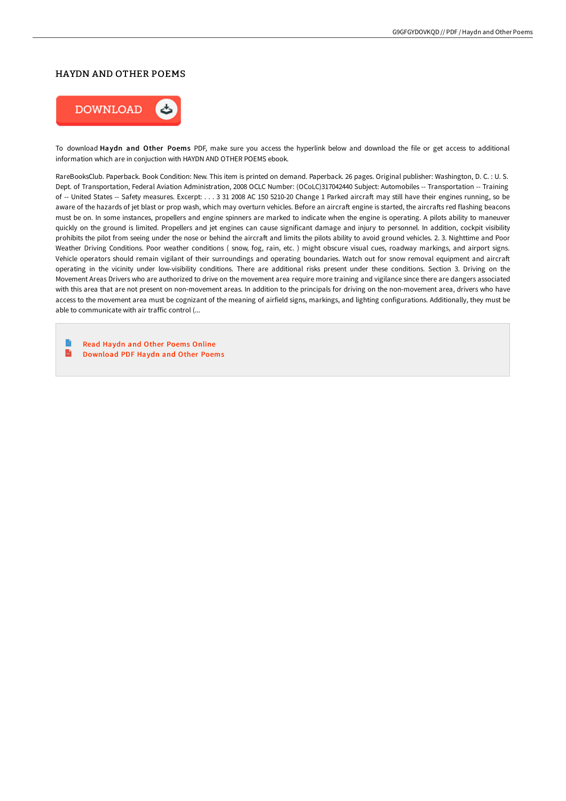## HAYDN AND OTHER POEMS



To download Haydn and Other Poems PDF, make sure you access the hyperlink below and download the file or get access to additional information which are in conjuction with HAYDN AND OTHER POEMS ebook.

RareBooksClub. Paperback. Book Condition: New. This item is printed on demand. Paperback. 26 pages. Original publisher: Washington, D. C. : U. S. Dept. of Transportation, Federal Aviation Administration, 2008 OCLC Number: (OCoLC)317042440 Subject: Automobiles -- Transportation -- Training of -- United States -- Safety measures. Excerpt: . . . 3 31 2008 AC 150 5210-20 Change 1 Parked aircraft may still have their engines running, so be aware of the hazards of jet blast or prop wash, which may overturn vehicles. Before an aircraft engine is started, the aircrafts red flashing beacons must be on. In some instances, propellers and engine spinners are marked to indicate when the engine is operating. A pilots ability to maneuver quickly on the ground is limited. Propellers and jet engines can cause significant damage and injury to personnel. In addition, cockpit visibility prohibits the pilot from seeing under the nose or behind the aircraft and limits the pilots ability to avoid ground vehicles. 2. 3. Nighttime and Poor Weather Driving Conditions. Poor weather conditions ( snow, fog, rain, etc. ) might obscure visual cues, roadway markings, and airport signs. Vehicle operators should remain vigilant of their surroundings and operating boundaries. Watch out for snow removal equipment and aircraft operating in the vicinity under low-visibility conditions. There are additional risks present under these conditions. Section 3. Driving on the Movement Areas Drivers who are authorized to drive on the movement area require more training and vigilance since there are dangers associated with this area that are not present on non-movement areas. In addition to the principals for driving on the non-movement area, drivers who have access to the movement area must be cognizant of the meaning of airfield signs, markings, and lighting configurations. Additionally, they must be able to communicate with air traffic control (...

e Read Haydn and Other [Poems](http://www.bookdirs.com/haydn-and-other-poems.html) Online  $\mathbf{m}$ [Download](http://www.bookdirs.com/haydn-and-other-poems.html) PDF Haydn and Other Poems